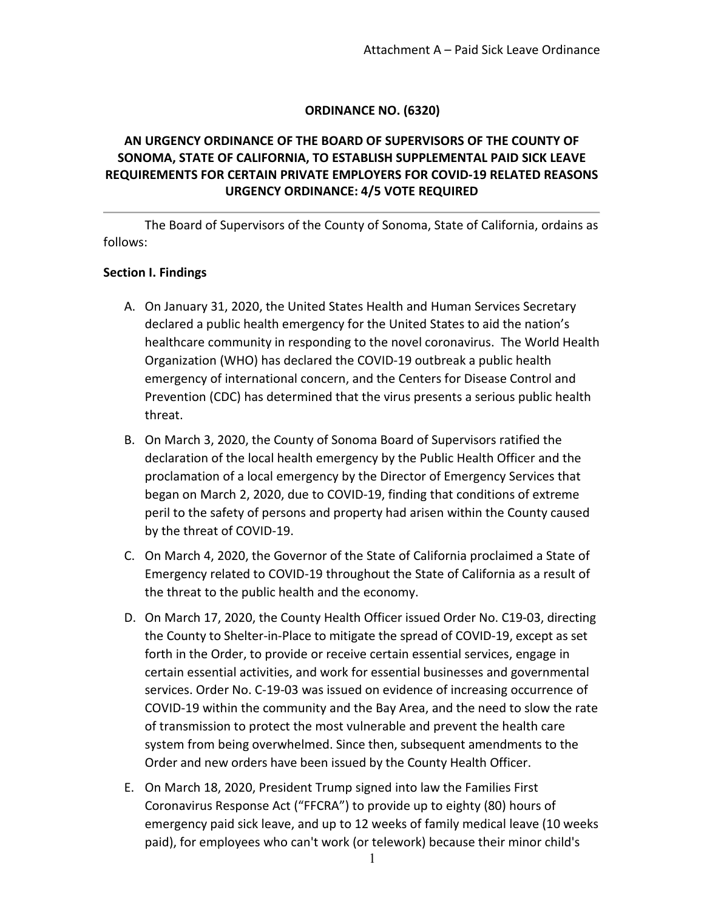#### **ORDINANCE NO. (6320)**

# **AN URGENCY ORDINANCE OF THE BOARD OF SUPERVISORS OF THE COUNTY OF SONOMA, STATE OF CALIFORNIA, TO ESTABLISH SUPPLEMENTAL PAID SICK LEAVE REQUIREMENTS FOR CERTAIN PRIVATE EMPLOYERS FOR COVID-19 RELATED REASONS URGENCY ORDINANCE: 4/5 VOTE REQUIRED**

The Board of Supervisors of the County of Sonoma, State of California, ordains as follows:

#### **Section I. Findings**

- A. On January 31, 2020, the United States Health and Human Services Secretary declared a public health emergency for the United States to aid the nation's healthcare community in responding to the novel coronavirus. The World Health Organization (WHO) has declared the COVID-19 outbreak a public health emergency of international concern, and the Centers for Disease Control and Prevention (CDC) has determined that the virus presents a serious public health threat.
- B. On March 3, 2020, the County of Sonoma Board of Supervisors ratified the declaration of the local health emergency by the Public Health Officer and the proclamation of a local emergency by the Director of Emergency Services that began on March 2, 2020, due to COVID-19, finding that conditions of extreme peril to the safety of persons and property had arisen within the County caused by the threat of COVID-19.
- C. On March 4, 2020, the Governor of the State of California proclaimed a State of Emergency related to COVID-19 throughout the State of California as a result of the threat to the public health and the economy.
- D. On March 17, 2020, the County Health Officer issued Order No. C19-03, directing the County to Shelter-in-Place to mitigate the spread of COVID-19, except as set forth in the Order, to provide or receive certain essential services, engage in certain essential activities, and work for essential businesses and governmental services. Order No. C-19-03 was issued on evidence of increasing occurrence of COVID-19 within the community and the Bay Area, and the need to slow the rate of transmission to protect the most vulnerable and prevent the health care system from being overwhelmed. Since then, subsequent amendments to the Order and new orders have been issued by the County Health Officer.
- E. On March 18, 2020, President Trump signed into law the Families First Coronavirus Response Act ("FFCRA") to provide up to eighty (80) hours of emergency paid sick leave, and up to 12 weeks of family medical leave (10 weeks paid), for employees who can't work (or telework) because their minor child's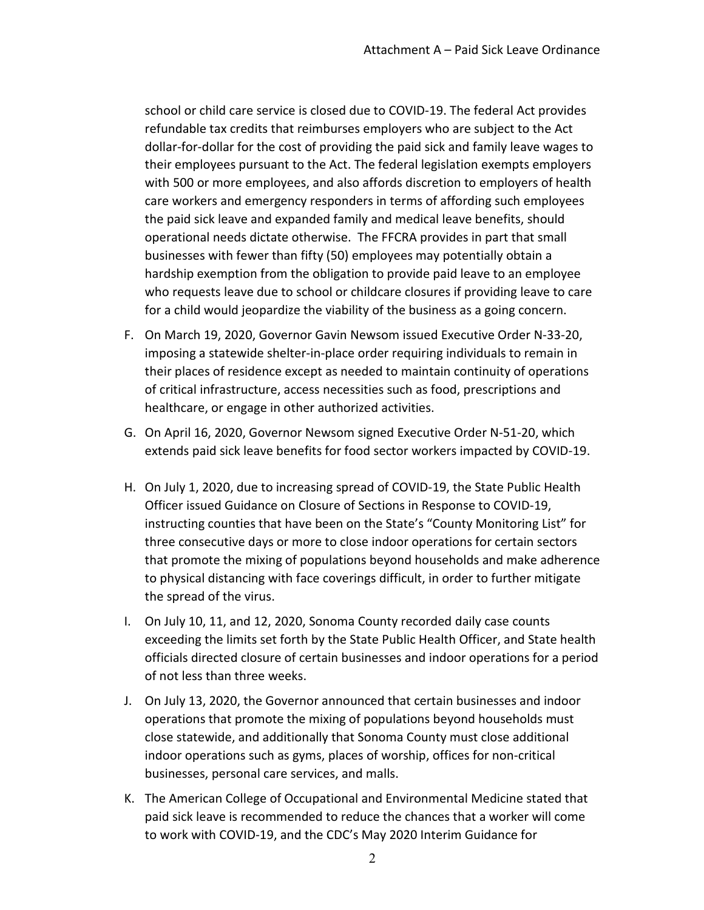school or child care service is closed due to COVID-19. The federal Act provides refundable tax credits that reimburses employers who are subject to the Act dollar-for-dollar for the cost of providing the paid sick and family leave wages to their employees pursuant to the Act. The federal legislation exempts employers with 500 or more employees, and also affords discretion to employers of health care workers and emergency responders in terms of affording such employees the paid sick leave and expanded family and medical leave benefits, should operational needs dictate otherwise. The FFCRA provides in part that small businesses with fewer than fifty (50) employees may potentially obtain a hardship exemption from the obligation to provide paid leave to an employee who requests leave due to school or childcare closures if providing leave to care for a child would jeopardize the viability of the business as a going concern.

- F. On March 19, 2020, Governor Gavin Newsom issued Executive Order N-33-20, imposing a statewide shelter-in-place order requiring individuals to remain in their places of residence except as needed to maintain continuity of operations of critical infrastructure, access necessities such as food, prescriptions and healthcare, or engage in other authorized activities.
- G. On April 16, 2020, Governor Newsom signed Executive Order N-51-20, which extends paid sick leave benefits for food sector workers impacted by COVID-19.
- H. On July 1, 2020, due to increasing spread of COVID-19, the State Public Health Officer issued Guidance on Closure of Sections in Response to COVID-19, instructing counties that have been on the State's "County Monitoring List" for three consecutive days or more to close indoor operations for certain sectors that promote the mixing of populations beyond households and make adherence to physical distancing with face coverings difficult, in order to further mitigate the spread of the virus.
- I. On July 10, 11, and 12, 2020, Sonoma County recorded daily case counts exceeding the limits set forth by the State Public Health Officer, and State health officials directed closure of certain businesses and indoor operations for a period of not less than three weeks.
- J. On July 13, 2020, the Governor announced that certain businesses and indoor operations that promote the mixing of populations beyond households must close statewide, and additionally that Sonoma County must close additional indoor operations such as gyms, places of worship, offices for non-critical businesses, personal care services, and malls.
- K. The American College of Occupational and Environmental Medicine stated that paid sick leave is recommended to reduce the chances that a worker will come to work with COVID-19, and the CDC's May 2020 Interim Guidance for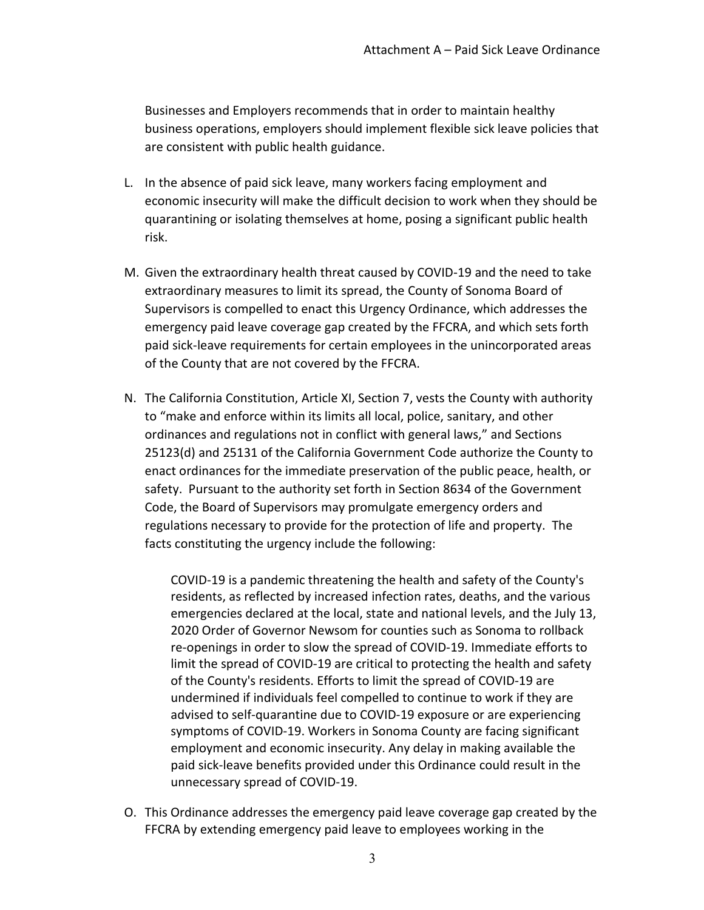Businesses and Employers recommends that in order to maintain healthy business operations, employers should implement flexible sick leave policies that are consistent with public health guidance.

- L. In the absence of paid sick leave, many workers facing employment and economic insecurity will make the difficult decision to work when they should be quarantining or isolating themselves at home, posing a significant public health risk.
- M. Given the extraordinary health threat caused by COVID-19 and the need to take extraordinary measures to limit its spread, the County of Sonoma Board of Supervisors is compelled to enact this Urgency Ordinance, which addresses the emergency paid leave coverage gap created by the FFCRA, and which sets forth paid sick-leave requirements for certain employees in the unincorporated areas of the County that are not covered by the FFCRA.
- N. The California Constitution, Article XI, Section 7, vests the County with authority to "make and enforce within its limits all local, police, sanitary, and other ordinances and regulations not in conflict with general laws," and Sections 25123(d) and 25131 of the California Government Code authorize the County to enact ordinances for the immediate preservation of the public peace, health, or safety. Pursuant to the authority set forth in Section 8634 of the Government Code, the Board of Supervisors may promulgate emergency orders and regulations necessary to provide for the protection of life and property. The facts constituting the urgency include the following:

COVID-19 is a pandemic threatening the health and safety of the County's residents, as reflected by increased infection rates, deaths, and the various emergencies declared at the local, state and national levels, and the July 13, 2020 Order of Governor Newsom for counties such as Sonoma to rollback re-openings in order to slow the spread of COVID-19. Immediate efforts to limit the spread of COVID-19 are critical to protecting the health and safety of the County's residents. Efforts to limit the spread of COVID-19 are undermined if individuals feel compelled to continue to work if they are advised to self-quarantine due to COVID-19 exposure or are experiencing symptoms of COVID-19. Workers in Sonoma County are facing significant employment and economic insecurity. Any delay in making available the paid sick-leave benefits provided under this Ordinance could result in the unnecessary spread of COVID-19.

O. This Ordinance addresses the emergency paid leave coverage gap created by the FFCRA by extending emergency paid leave to employees working in the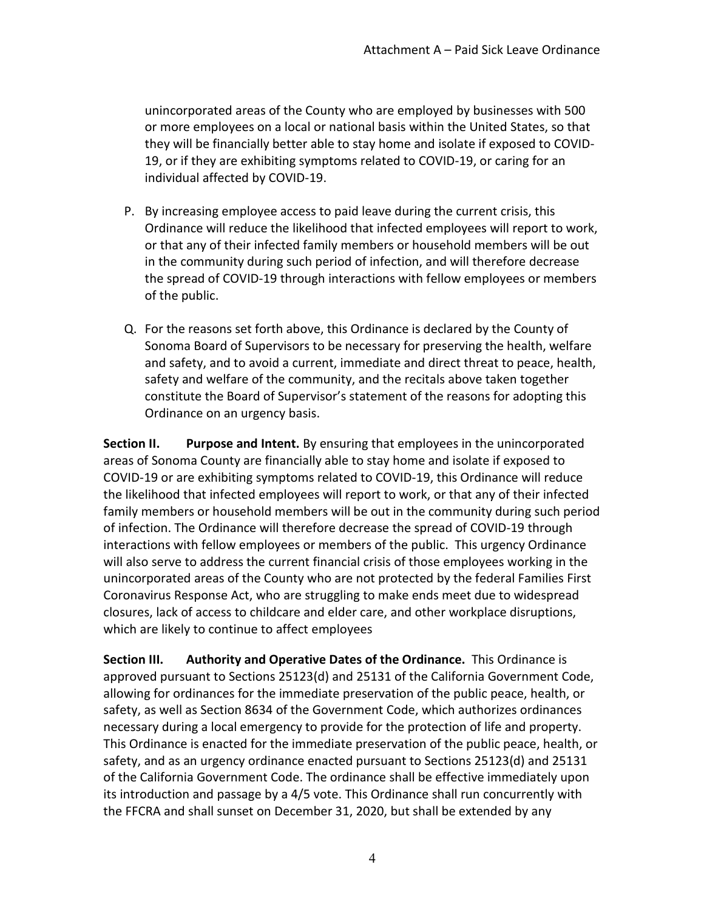unincorporated areas of the County who are employed by businesses with 500 or more employees on a local or national basis within the United States, so that they will be financially better able to stay home and isolate if exposed to COVID-19, or if they are exhibiting symptoms related to COVID-19, or caring for an individual affected by COVID-19.

- P. By increasing employee access to paid leave during the current crisis, this Ordinance will reduce the likelihood that infected employees will report to work, or that any of their infected family members or household members will be out in the community during such period of infection, and will therefore decrease the spread of COVID-19 through interactions with fellow employees or members of the public.
- Q. For the reasons set forth above, this Ordinance is declared by the County of Sonoma Board of Supervisors to be necessary for preserving the health, welfare and safety, and to avoid a current, immediate and direct threat to peace, health, safety and welfare of the community, and the recitals above taken together constitute the Board of Supervisor's statement of the reasons for adopting this Ordinance on an urgency basis.

**Section II. Purpose and Intent.** By ensuring that employees in the unincorporated areas of Sonoma County are financially able to stay home and isolate if exposed to COVID-19 or are exhibiting symptoms related to COVID-19, this Ordinance will reduce the likelihood that infected employees will report to work, or that any of their infected family members or household members will be out in the community during such period of infection. The Ordinance will therefore decrease the spread of COVID-19 through interactions with fellow employees or members of the public. This urgency Ordinance will also serve to address the current financial crisis of those employees working in the unincorporated areas of the County who are not protected by the federal Families First Coronavirus Response Act, who are struggling to make ends meet due to widespread closures, lack of access to childcare and elder care, and other workplace disruptions, which are likely to continue to affect employees

**Section III. Authority and Operative Dates of the Ordinance.** This Ordinance is approved pursuant to Sections 25123(d) and 25131 of the California Government Code, allowing for ordinances for the immediate preservation of the public peace, health, or safety, as well as Section 8634 of the Government Code, which authorizes ordinances necessary during a local emergency to provide for the protection of life and property. This Ordinance is enacted for the immediate preservation of the public peace, health, or safety, and as an urgency ordinance enacted pursuant to Sections 25123(d) and 25131 of the California Government Code. The ordinance shall be effective immediately upon its introduction and passage by a 4/5 vote. This Ordinance shall run concurrently with the FFCRA and shall sunset on December 31, 2020, but shall be extended by any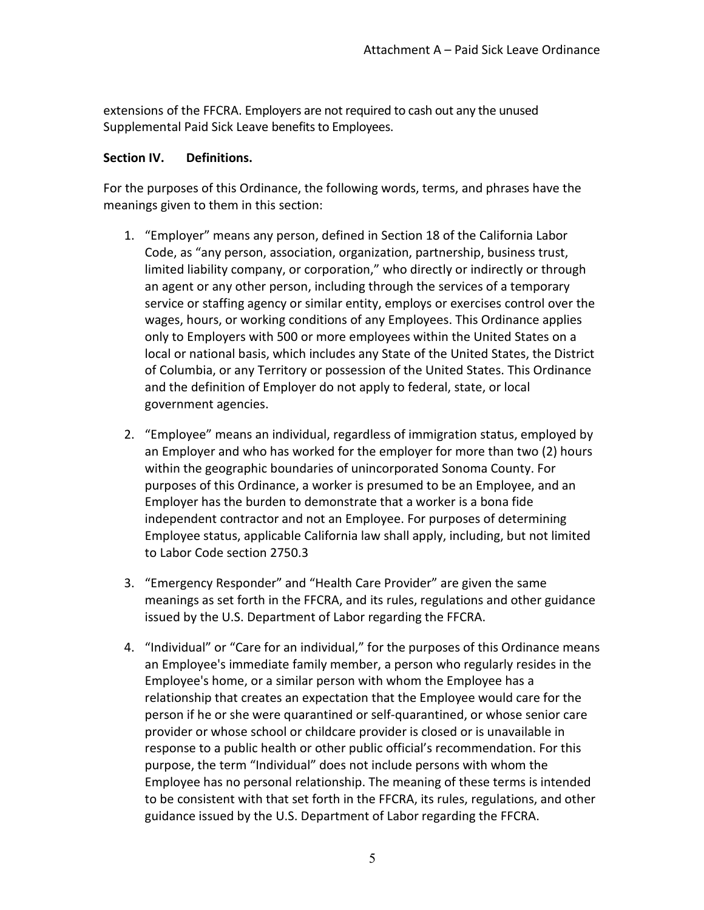extensions of the FFCRA. Employers are not required to cash out any the unused Supplemental Paid Sick Leave benefits to Employees.

## **Section IV. Definitions.**

For the purposes of this Ordinance, the following words, terms, and phrases have the meanings given to them in this section:

- 1. "Employer" means any person, defined in Section 18 of the California Labor Code, as "any person, association, organization, partnership, business trust, limited liability company, or corporation," who directly or indirectly or through an agent or any other person, including through the services of a temporary service or staffing agency or similar entity, employs or exercises control over the wages, hours, or working conditions of any Employees. This Ordinance applies only to Employers with 500 or more employees within the United States on a local or national basis, which includes any State of the United States, the District of Columbia, or any Territory or possession of the United States. This Ordinance and the definition of Employer do not apply to federal, state, or local government agencies.
- 2. "Employee" means an individual, regardless of immigration status, employed by an Employer and who has worked for the employer for more than two (2) hours within the geographic boundaries of unincorporated Sonoma County. For purposes of this Ordinance, a worker is presumed to be an Employee, and an Employer has the burden to demonstrate that a worker is a bona fide independent contractor and not an Employee. For purposes of determining Employee status, applicable California law shall apply, including, but not limited to Labor Code section 2750.3
- 3. "Emergency Responder" and "Health Care Provider" are given the same meanings as set forth in the FFCRA, and its rules, regulations and other guidance issued by the U.S. Department of Labor regarding the FFCRA.
- 4. "Individual" or "Care for an individual," for the purposes of this Ordinance means an Employee's immediate family member, a person who regularly resides in the Employee's home, or a similar person with whom the Employee has a relationship that creates an expectation that the Employee would care for the person if he or she were quarantined or self-quarantined, or whose senior care provider or whose school or childcare provider is closed or is unavailable in response to a public health or other public official's recommendation. For this purpose, the term "Individual" does not include persons with whom the Employee has no personal relationship. The meaning of these terms is intended to be consistent with that set forth in the FFCRA, its rules, regulations, and other guidance issued by the U.S. Department of Labor regarding the FFCRA.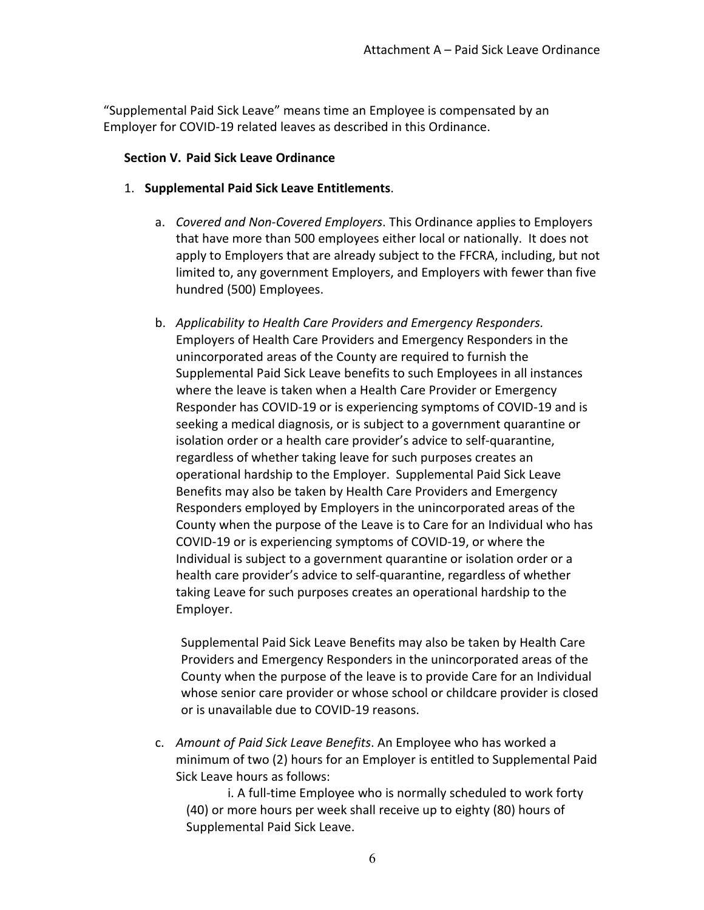"Supplemental Paid Sick Leave" means time an Employee is compensated by an Employer for COVID-19 related leaves as described in this Ordinance.

### **Section V. Paid Sick Leave Ordinance**

- 1. **Supplemental Paid Sick Leave Entitlements**.
	- a. *Covered and Non-Covered Employers*. This Ordinance applies to Employers that have more than 500 employees either local or nationally. It does not apply to Employers that are already subject to the FFCRA, including, but not limited to, any government Employers, and Employers with fewer than five hundred (500) Employees.
	- b. *Applicability to Health Care Providers and Emergency Responders.*  Employers of Health Care Providers and Emergency Responders in the unincorporated areas of the County are required to furnish the Supplemental Paid Sick Leave benefits to such Employees in all instances where the leave is taken when a Health Care Provider or Emergency Responder has COVID-19 or is experiencing symptoms of COVID-19 and is seeking a medical diagnosis, or is subject to a government quarantine or isolation order or a health care provider's advice to self-quarantine, regardless of whether taking leave for such purposes creates an operational hardship to the Employer. Supplemental Paid Sick Leave Benefits may also be taken by Health Care Providers and Emergency Responders employed by Employers in the unincorporated areas of the County when the purpose of the Leave is to Care for an Individual who has COVID-19 or is experiencing symptoms of COVID-19, or where the Individual is subject to a government quarantine or isolation order or a health care provider's advice to self-quarantine, regardless of whether taking Leave for such purposes creates an operational hardship to the Employer.

Supplemental Paid Sick Leave Benefits may also be taken by Health Care Providers and Emergency Responders in the unincorporated areas of the County when the purpose of the leave is to provide Care for an Individual whose senior care provider or whose school or childcare provider is closed or is unavailable due to COVID-19 reasons.

c. *Amount of Paid Sick Leave Benefits*. An Employee who has worked a minimum of two (2) hours for an Employer is entitled to Supplemental Paid Sick Leave hours as follows:

i. A full-time Employee who is normally scheduled to work forty (40) or more hours per week shall receive up to eighty (80) hours of Supplemental Paid Sick Leave.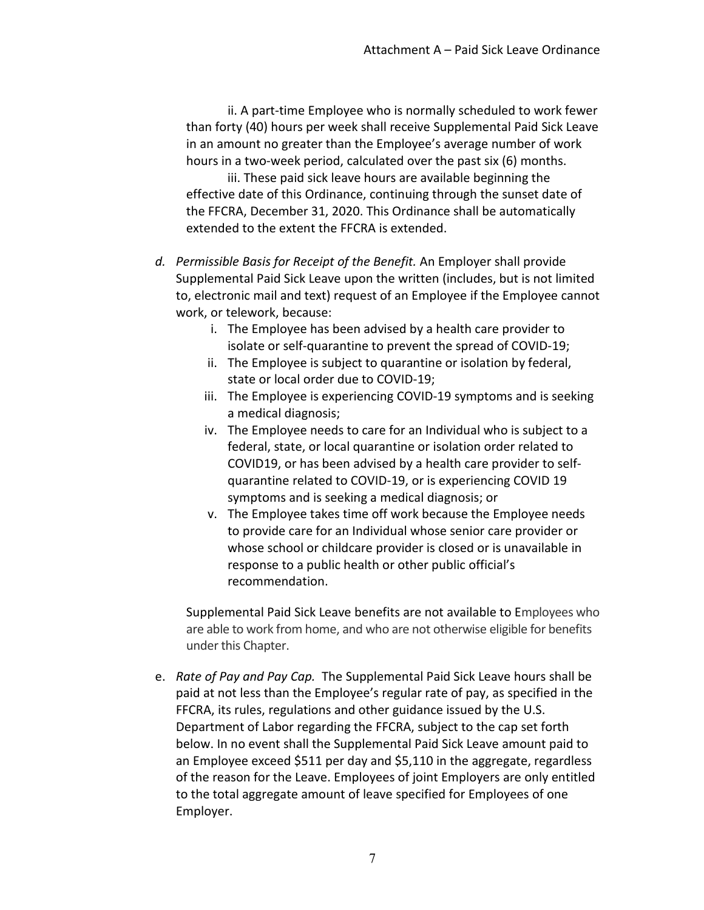ii. A part-time Employee who is normally scheduled to work fewer than forty (40) hours per week shall receive Supplemental Paid Sick Leave in an amount no greater than the Employee's average number of work hours in a two-week period, calculated over the past six (6) months.

iii. These paid sick leave hours are available beginning the effective date of this Ordinance, continuing through the sunset date of the FFCRA, December 31, 2020. This Ordinance shall be automatically extended to the extent the FFCRA is extended.

- *d. Permissible Basis for Receipt of the Benefit.* An Employer shall provide Supplemental Paid Sick Leave upon the written (includes, but is not limited to, electronic mail and text) request of an Employee if the Employee cannot work, or telework, because:
	- i. The Employee has been advised by a health care provider to isolate or self-quarantine to prevent the spread of COVID-19;
	- ii. The Employee is subject to quarantine or isolation by federal, state or local order due to COVID-19;
	- iii. The Employee is experiencing COVID-19 symptoms and is seeking a medical diagnosis;
	- iv. The Employee needs to care for an Individual who is subject to a federal, state, or local quarantine or isolation order related to COVID19, or has been advised by a health care provider to selfquarantine related to COVID-19, or is experiencing COVID 19 symptoms and is seeking a medical diagnosis; or
	- v. The Employee takes time off work because the Employee needs to provide care for an Individual whose senior care provider or whose school or childcare provider is closed or is unavailable in response to a public health or other public official's recommendation.

Supplemental Paid Sick Leave benefits are not available to Employees who are able to work from home, and who are not otherwise eligible for benefits under this Chapter.

e. *Rate of Pay and Pay Cap.* The Supplemental Paid Sick Leave hours shall be paid at not less than the Employee's regular rate of pay, as specified in the FFCRA, its rules, regulations and other guidance issued by the U.S. Department of Labor regarding the FFCRA, subject to the cap set forth below. In no event shall the Supplemental Paid Sick Leave amount paid to an Employee exceed \$511 per day and \$5,110 in the aggregate, regardless of the reason for the Leave. Employees of joint Employers are only entitled to the total aggregate amount of leave specified for Employees of one Employer.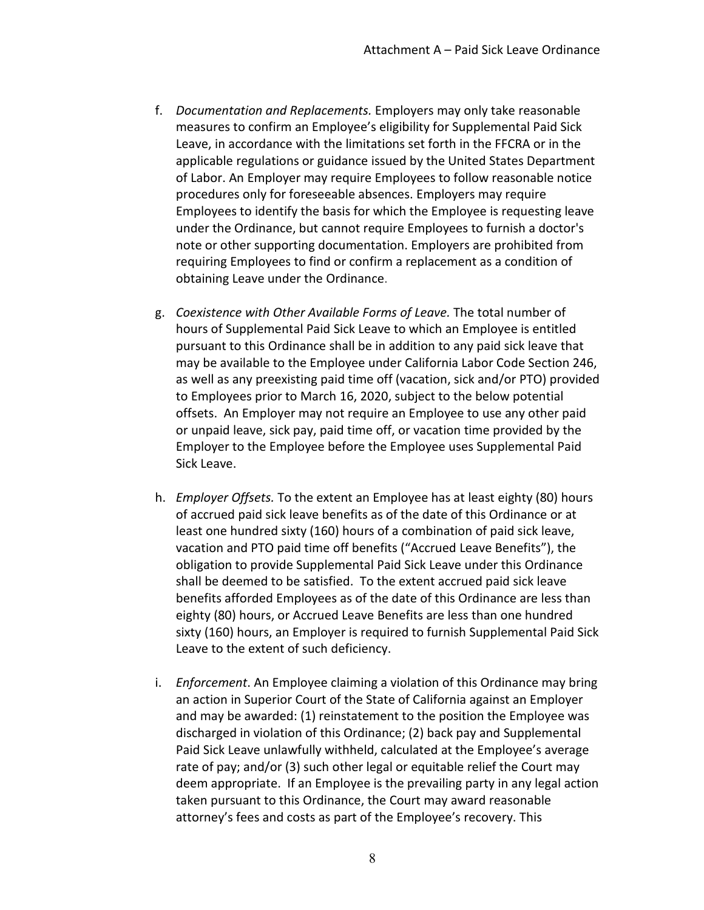- f. *Documentation and Replacements.* Employers may only take reasonable measures to confirm an Employee's eligibility for Supplemental Paid Sick Leave, in accordance with the limitations set forth in the FFCRA or in the applicable regulations or guidance issued by the United States Department of Labor. An Employer may require Employees to follow reasonable notice procedures only for foreseeable absences. Employers may require Employees to identify the basis for which the Employee is requesting leave under the Ordinance, but cannot require Employees to furnish a doctor's note or other supporting documentation. Employers are prohibited from requiring Employees to find or confirm a replacement as a condition of obtaining Leave under the Ordinance.
- g. *Coexistence with Other Available Forms of Leave.* The total number of hours of Supplemental Paid Sick Leave to which an Employee is entitled pursuant to this Ordinance shall be in addition to any paid sick leave that may be available to the Employee under California Labor Code Section 246, as well as any preexisting paid time off (vacation, sick and/or PTO) provided to Employees prior to March 16, 2020, subject to the below potential offsets. An Employer may not require an Employee to use any other paid or unpaid leave, sick pay, paid time off, or vacation time provided by the Employer to the Employee before the Employee uses Supplemental Paid Sick Leave.
- h. *Employer Offsets.* To the extent an Employee has at least eighty (80) hours of accrued paid sick leave benefits as of the date of this Ordinance or at least one hundred sixty (160) hours of a combination of paid sick leave, vacation and PTO paid time off benefits ("Accrued Leave Benefits"), the obligation to provide Supplemental Paid Sick Leave under this Ordinance shall be deemed to be satisfied. To the extent accrued paid sick leave benefits afforded Employees as of the date of this Ordinance are less than eighty (80) hours, or Accrued Leave Benefits are less than one hundred sixty (160) hours, an Employer is required to furnish Supplemental Paid Sick Leave to the extent of such deficiency.
- i. *Enforcement*. An Employee claiming a violation of this Ordinance may bring an action in Superior Court of the State of California against an Employer and may be awarded: (1) reinstatement to the position the Employee was discharged in violation of this Ordinance; (2) back pay and Supplemental Paid Sick Leave unlawfully withheld, calculated at the Employee's average rate of pay; and/or (3) such other legal or equitable relief the Court may deem appropriate. If an Employee is the prevailing party in any legal action taken pursuant to this Ordinance, the Court may award reasonable attorney's fees and costs as part of the Employee's recovery. This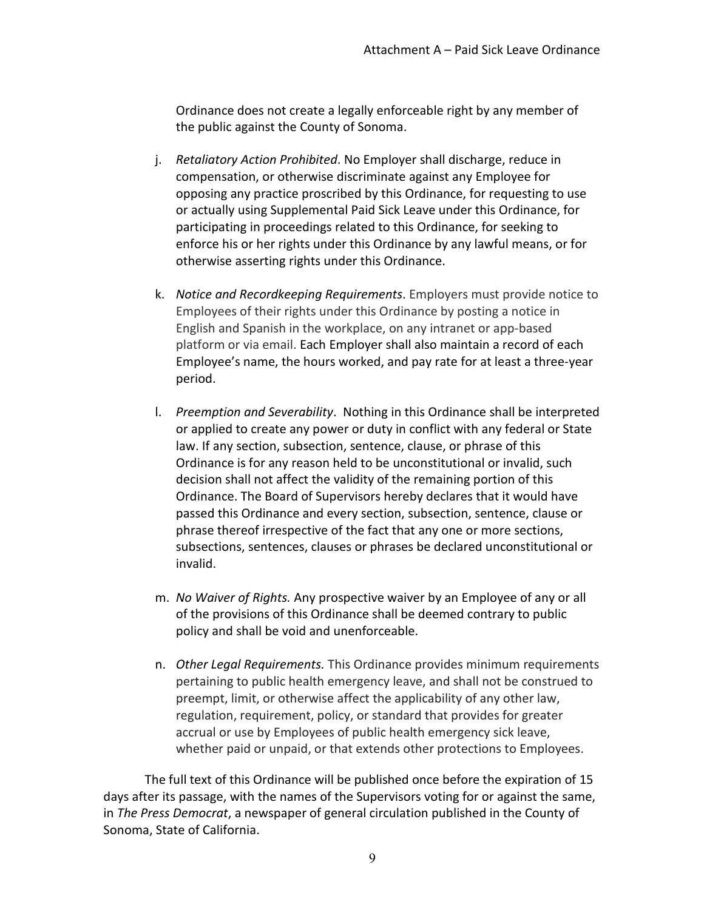Ordinance does not create a legally enforceable right by any member of the public against the County of Sonoma.

- j. *Retaliatory Action Prohibited*. No Employer shall discharge, reduce in compensation, or otherwise discriminate against any Employee for opposing any practice proscribed by this Ordinance, for requesting to use or actually using Supplemental Paid Sick Leave under this Ordinance, for participating in proceedings related to this Ordinance, for seeking to enforce his or her rights under this Ordinance by any lawful means, or for otherwise asserting rights under this Ordinance.
- k. *Notice and Recordkeeping Requirements*. Employers must provide notice to Employees of their rights under this Ordinance by posting a notice in English and Spanish in the workplace, on any intranet or app-based platform or via email. Each Employer shall also maintain a record of each Employee's name, the hours worked, and pay rate for at least a three-year period.
- l. *Preemption and Severability*. Nothing in this Ordinance shall be interpreted or applied to create any power or duty in conflict with any federal or State law. If any section, subsection, sentence, clause, or phrase of this Ordinance is for any reason held to be unconstitutional or invalid, such decision shall not affect the validity of the remaining portion of this Ordinance. The Board of Supervisors hereby declares that it would have passed this Ordinance and every section, subsection, sentence, clause or phrase thereof irrespective of the fact that any one or more sections, subsections, sentences, clauses or phrases be declared unconstitutional or invalid.
- m. *No Waiver of Rights.* Any prospective waiver by an Employee of any or all of the provisions of this Ordinance shall be deemed contrary to public policy and shall be void and unenforceable.
- n. *Other Legal Requirements.* This Ordinance provides minimum requirements pertaining to public health emergency leave, and shall not be construed to preempt, limit, or otherwise affect the applicability of any other law, regulation, requirement, policy, or standard that provides for greater accrual or use by Employees of public health emergency sick leave, whether paid or unpaid, or that extends other protections to Employees.

The full text of this Ordinance will be published once before the expiration of 15 days after its passage, with the names of the Supervisors voting for or against the same, in *The Press Democrat*, a newspaper of general circulation published in the County of Sonoma, State of California.